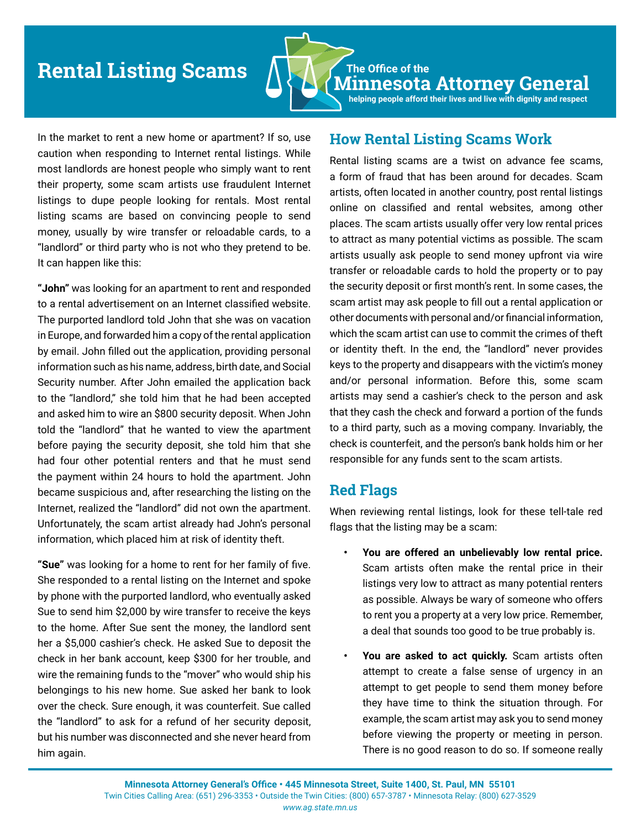# **Rental Listing Scams**  $\bigwedge \bigcup_{\lambda} \bigwedge_{\lambda}$  The Office of the



**Minnesota Attorney General helping people afford their lives and live with dignity and respect**

In the market to rent a new home or apartment? If so, use caution when responding to Internet rental listings. While most landlords are honest people who simply want to rent their property, some scam artists use fraudulent Internet listings to dupe people looking for rentals. Most rental listing scams are based on convincing people to send money, usually by wire transfer or reloadable cards, to a "landlord" or third party who is not who they pretend to be. It can happen like this:

**"John"** was looking for an apartment to rent and responded to a rental advertisement on an Internet classified website. The purported landlord told John that she was on vacation in Europe, and forwarded him a copy of the rental application by email. John filled out the application, providing personal information such as his name, address, birth date, and Social Security number. After John emailed the application back to the "landlord," she told him that he had been accepted and asked him to wire an \$800 security deposit. When John told the "landlord" that he wanted to view the apartment before paying the security deposit, she told him that she had four other potential renters and that he must send the payment within 24 hours to hold the apartment. John became suspicious and, after researching the listing on the Internet, realized the "landlord" did not own the apartment. Unfortunately, the scam artist already had John's personal information, which placed him at risk of identity theft.

**"Sue"** was looking for a home to rent for her family of five. She responded to a rental listing on the Internet and spoke by phone with the purported landlord, who eventually asked Sue to send him \$2,000 by wire transfer to receive the keys to the home. After Sue sent the money, the landlord sent her a \$5,000 cashier's check. He asked Sue to deposit the check in her bank account, keep \$300 for her trouble, and wire the remaining funds to the "mover" who would ship his belongings to his new home. Sue asked her bank to look over the check. Sure enough, it was counterfeit. Sue called the "landlord" to ask for a refund of her security deposit, but his number was disconnected and she never heard from him again.

### **How Rental Listing Scams Work**

Rental listing scams are a twist on advance fee scams, a form of fraud that has been around for decades. Scam artists, often located in another country, post rental listings online on classified and rental websites, among other places. The scam artists usually offer very low rental prices to attract as many potential victims as possible. The scam artists usually ask people to send money upfront via wire transfer or reloadable cards to hold the property or to pay the security deposit or first month's rent. In some cases, the scam artist may ask people to fill out a rental application or other documents with personal and/or financial information, which the scam artist can use to commit the crimes of theft or identity theft. In the end, the "landlord" never provides keys to the property and disappears with the victim's money and/or personal information. Before this, some scam artists may send a cashier's check to the person and ask that they cash the check and forward a portion of the funds to a third party, such as a moving company. Invariably, the check is counterfeit, and the person's bank holds him or her responsible for any funds sent to the scam artists.

### **Red Flags**

When reviewing rental listings, look for these tell-tale red flags that the listing may be a scam:

- **• You are offered an unbelievably low rental price.** Scam artists often make the rental price in their listings very low to attract as many potential renters as possible. Always be wary of someone who offers to rent you a property at a very low price. Remember, a deal that sounds too good to be true probably is.
- **• You are asked to act quickly.** Scam artists often attempt to create a false sense of urgency in an attempt to get people to send them money before they have time to think the situation through. For example, the scam artist may ask you to send money before viewing the property or meeting in person. There is no good reason to do so. If someone really